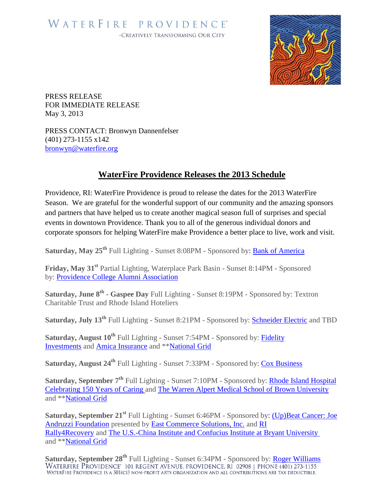

PRESS RELEASE FOR IMMEDIATE RELEASE May 3, 2013

PRESS CONTACT: Bronwyn Dannenfelser (401) 273-1155 x142 [bronwyn@waterfire.org](mailto:peter@waterfire.org)

## **WaterFire Providence Releases the 2013 Schedule**

Providence, RI: WaterFire Providence is proud to release the dates for the 2013 WaterFire Season. We are grateful for the wonderful support of our community and the amazing sponsors and partners that have helped us to create another magical season full of surprises and special events in downtown Providence. Thank you to all of the generous individual donors and corporate sponsors for helping WaterFire make Providence a better place to live, work and visit.

**Saturday, May 25th** Full Lighting - Sunset 8:08PM - Sponsored by: [Bank of America](https://www.bankofamerica.com/)

**Friday, May 31st** Partial Lighting, Waterplace Park Basin - Sunset 8:14PM - Sponsored by: [Providence College Alumni Association](http://alumni.providence.edu/)

**Saturday, June 8th - Gaspee Day** Full Lighting - Sunset 8:19PM - Sponsored by: Textron Charitable Trust and Rhode Island Hoteliers

**Saturday, July 13th** Full Lighting - Sunset 8:21PM - Sponsored by: [Schneider Electric](http://www.schneider-electric.com/site/home/index.cfm/ww/) and TBD

**Saturday, August 10th** Full Lighting - Sunset 7:54PM - Sponsored by: [Fidelity](https://www.fidelity.com/)  [Investments](https://www.fidelity.com/) and [Amica Insurance](http://www.amica.com/) and \*[\\*National Grid](https://www1.nationalgridus.com/CorporateHub)

**Saturday, August 24th** Full Lighting - Sunset 7:33PM - Sponsored by: [Cox Business](http://intercept.cox.com/dispatch/4469396149390654771/intercept.cox?lob=business&s=filter&dest=http%3A%2F%2Fww2.cox.com%2Fbusiness%2Fhome.cox)

**Saturday, September 7th** Full Lighting - Sunset 7:10PM - Sponsored by: [Rhode Island Hospital](http://www.rhodeislandhospital.org/#null)  [Celebrating 150 Years of Caring](http://www.rhodeislandhospital.org/#null) and [The Warren Alpert Medical School of Brown University](http://brown.edu/academics/medical/) and \*[\\*National Grid](https://www1.nationalgridus.com/CorporateHub)

**Saturday, September 21st** Full Lighting - Sunset 6:46PM - Sponsored by: [\(Up\)Beat Cancer: Joe](http://joeandruzzifoundation.org/wp/upbeat-cancer/)  [Andruzzi Foundation](http://joeandruzzifoundation.org/wp/upbeat-cancer/) presented by [East Commerce Solutions, Inc.](http://www.eastcommercesolutions.com/) and [RI](http://rally4recovery.com/)  [Rally4Recovery](http://rally4recovery.com/) and [The U.S.-China Institute and Confucius Institute at Bryant University](http://china.bryant.edu/confucius-institute/) and \*[\\*National Grid](https://www1.nationalgridus.com/CorporateHub)

**Saturday, September 28<sup>th</sup>** Full Lighting - Sunset 6:34PM - Sponsored by: **Roger Williams** WATERFIRE PROVIDENCE<sup>\*</sup> 101 REGENT AVENUE, PROVIDENCE, RI 02908 | PHONE (401) 273-1155 WATERFIRE PROVIDENCE IS A 501(C)3 NON-PROFIT ARTS ORGANIZATION AND ALL CONTRIBUTIONS ARE TAX DEDUCTIBLE.